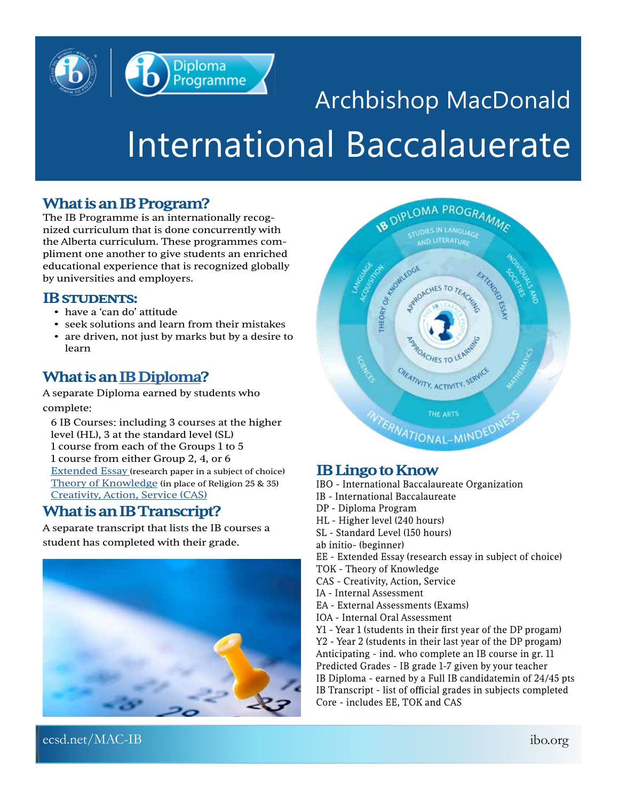### Diploma Programme

### Archbishop MacDonald International Baccalauerate

#### **What is an IB Program?**

The IB Programme is an internationally recognized curriculum that is done concurrently with the Alberta curriculum. These programmes compliment one another to give students an enriched educational experience that is recognized globally by universities and employers.

#### **IB STUDENTS:**<br>• have a 'can do' attitude

- 
- seek solutions and learn from their mistakes
- are driven, not just by marks but by a desire to learn

#### **What is an [IB Diploma](https://www.ibo.org/programmes/diploma-programme/curriculum/)?**

A separate Diploma earned by students who complete:

6 IB Courses: including 3 courses at the higher level (HL), 3 at the standard level (SL) 1 course from each of the Groups 1 to 5 1 course from either Group 2, 4, or 6 [Extended Essay](https://www.ibo.org/programmes/diploma-programme/curriculum/extended-essay/) (research paper in a subject of choice) [Theory of Knowledge](https://www.ibo.org/programmes/diploma-programme/curriculum/theory-of-knowledge/) (in place of Religion 25 & 35) [Creativity, Action, Service \(CAS\)](https://www.ibo.org/programmes/diploma-programme/curriculum/creativity-activity-and-service/cas-projects/)

#### **What is an IB Transcript?**

A separate transcript that lists the IB courses a student has completed with their grade.





#### **IB Lingo to Know**

IBO - International Baccalaureate Organization

- IB International Baccalaureate
- DP Diploma Program
- HL Higher level (240 hours)
- SL Standard Level (150 hours)
- ab initio- (beginner)
- EE Extended Essay (research essay in subject of choice)
- TOK Theory of Knowledge
- CAS Creativity, Action, Service
- IA Internal Assessment
- EA External Assessments (Exams)
- IOA Internal Oral Assessment

Y1 - Year 1 (students in their first year of the DP progam) Y2 - Year 2 (students in their last year of the DP progam) Anticipating - ind. who complete an IB course in gr. 11 Predicted Grades - IB grade 1-7 given by your teacher IB Diploma - earned by a Full IB candidatemin of 24/45 pts IB Transcript - list of official grades in subjects completed Core - includes EE, TOK and CAS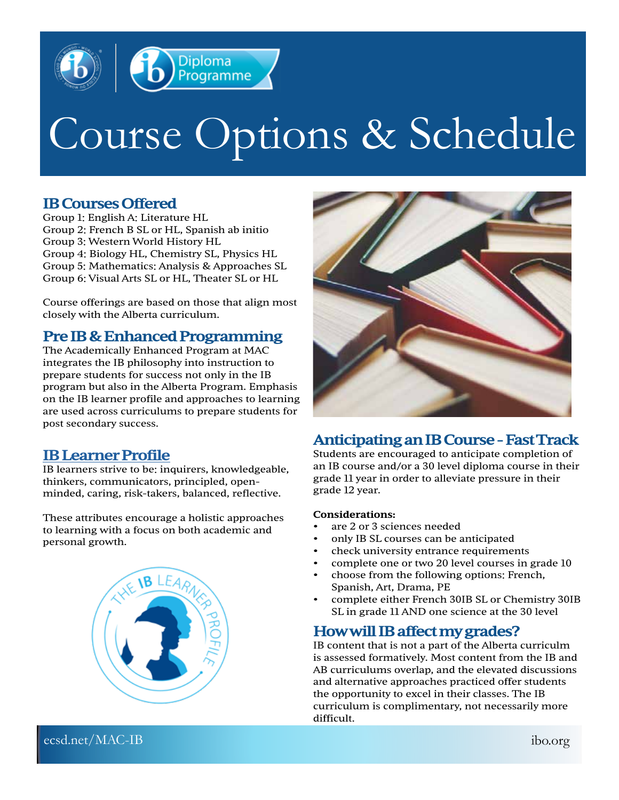

## Course Options & Schedule

#### **IB Courses Offered**

Group 1: English A: Literature HL Group 2: French B SL or HL, Spanish ab initio Group 3: Western World History HL Group 4: Biology HL, Chemistry SL, Physics HL Group 5: Mathematics: Analysis & Approaches SL Group 6: Visual Arts SL or HL, Theater SL or HL

Course offerings are based on those that align most closely with the Alberta curriculum.

#### **Pre IB & Enhanced Programming**

The Academically Enhanced Program at MAC integrates the IB philosophy into instruction to prepare students for success not only in the IB program but also in the Alberta Program. Emphasis on the IB learner profile and approaches to learning are used across curriculums to prepare students for post secondary success.

#### **[IB Learner Profile](https://www.ibo.org/benefits/learner-profile/)**

IB learners strive to be: inquirers, knowledgeable, thinkers, communicators, principled, openminded, caring, risk-takers, balanced, reflective.

These attributes encourage a holistic approaches to [learning with a focus on both academic an](https://www.ibo.org/benefits/learner-profile/)d personal growth.





#### **Anticipating an IB Course - Fast Track**

Students are encouraged to anticipate completion of an IB course and/or a 30 level diploma course in their grade 11 year in order to alleviate pressure in their grade 12 year.

#### **Considerations:**

- are 2 or 3 sciences needed
- only IB SL courses can be anticipated
- check university entrance requirements
- complete one or two 20 level courses in grade 10
- choose from the following options: French, Spanish, Art, Drama, PE
- complete either French 30IB SL or Chemistry 30IB SL in grade 11 AND one science at the 30 level

#### **How will IB affect my grades?**

IB content that is not a part of the Alberta curriculm is assessed formatively. Most content from the IB and AB curriculums overlap, and the elevated discussions and alternative approaches practiced offer students the opportunity to excel in their classes. The IB curriculum is complimentary, not necessarily more difficult.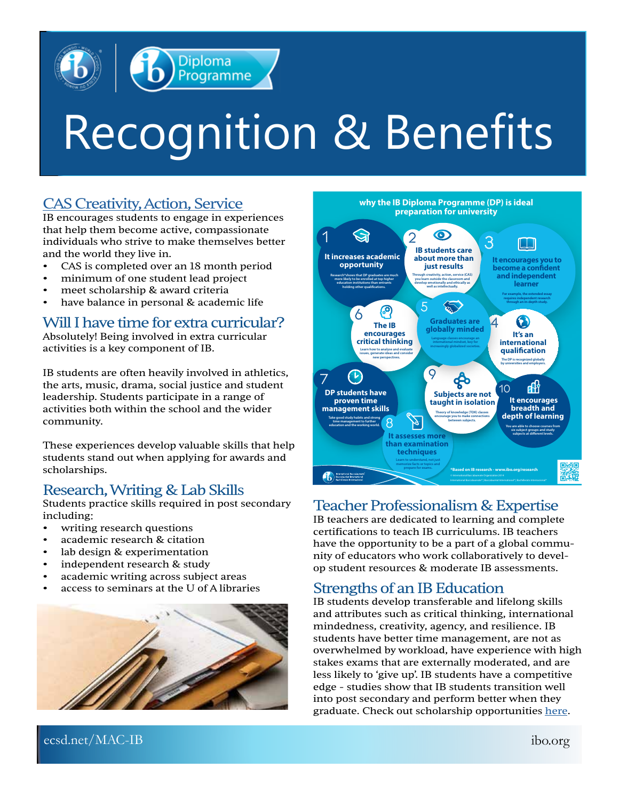

# Recognition & Benefits

#### [CAS Creativity, Action, Service](https://www.ibo.org/programmes/diploma-programme/curriculum/creativity-activity-and-service/cas-projects/)

IB encourages students to engage in experiences that help them become active, compassionate individuals who strive to make themselves better and the world they live in.

- CAS is completed over an 18 month period
- minimum of one student lead project
- meet scholarship & award criteria
- have balance in personal & academic life

#### Will I have time for extra curricular?

Absolutely! Being involved in extra curricular activities is a key component of IB.

IB students are often heavily involved in athletics, the arts, music, drama, social justice and student leadership. Students participate in a range of activities both within the school and the wider community.

These experiences develop valuable skills that help students stand out when applying for awards and scholarships.

#### Research, Writing & Lab Skills

Students practice skills required in post secondary including:

- writing research questions
- academic research & citation
- lab design & experimentation
- independent research & study
- academic writing across subject areas
- access to seminars at the U of A libraries





#### Teacher Professionalism & Expertise

IB teachers are dedicated to learning and complete certifications to teach IB curriculums. IB teachers have the opportunity to be a part of a global community of educators who work collaboratively to develop student resources & moderate IB assessments.

#### Strengths of an IB Education

IB students develop transferable and lifelong skills and attributes such as critical thinking, international mindedness, creativity, agency, and resilience. IB students have better time management, are not as overwhelmed by workload, have experience with high stakes exams that are externally moderated, and are less likely to 'give up'. IB students have a competitive edge - studies show that IB students transition well into post secondary and perform better when they graduate. Check out scholarship opportunities [here.](https://blogs.ibo.org/blog/2014/05/06/scholarships/)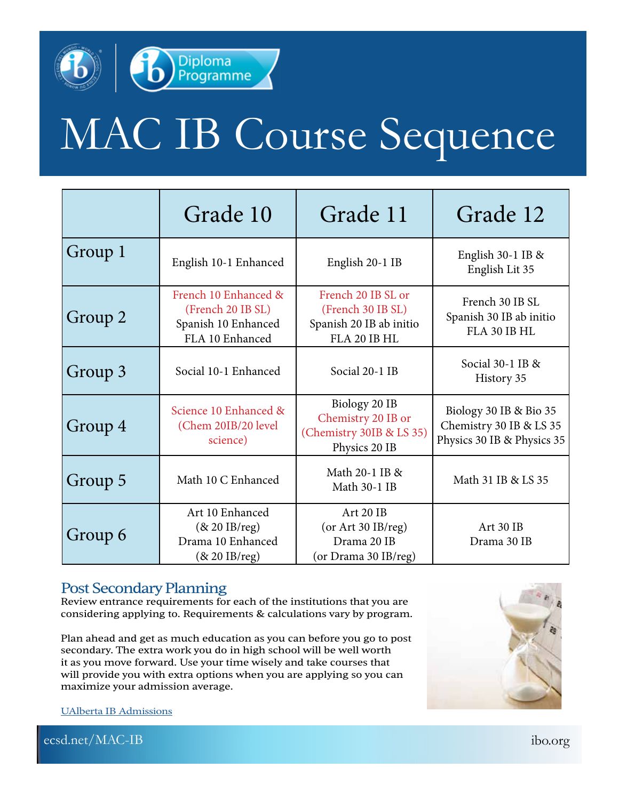

### MAC IB Course Sequence

|         | Grade 10                                                                            | Grade 11                                                                           | Grade 12                                                                        |
|---------|-------------------------------------------------------------------------------------|------------------------------------------------------------------------------------|---------------------------------------------------------------------------------|
| Group 1 | English 10-1 Enhanced                                                               | English 20-1 IB                                                                    | English $30-1$ IB &<br>English Lit 35                                           |
| Group 2 | French 10 Enhanced &<br>(French 20 IB SL)<br>Spanish 10 Enhanced<br>FLA 10 Enhanced | French 20 IB SL or<br>(French 30 IB SL)<br>Spanish 20 IB ab initio<br>FLA 20 IB HL | French 30 IB SL<br>Spanish 30 IB ab initio<br>FLA 30 IB HL                      |
| Group 3 | Social 10-1 Enhanced                                                                | Social 20-1 IB                                                                     | Social 30-1 IB &<br>History 35                                                  |
| Group 4 | Science 10 Enhanced &<br>(Chem 20IB/20 level<br>science)                            | Biology 20 IB<br>Chemistry 20 IB or<br>(Chemistry 30IB & LS 35)<br>Physics 20 IB   | Biology 30 IB & Bio 35<br>Chemistry 30 IB & LS 35<br>Physics 30 IB & Physics 35 |
| Group 5 | Math 10 C Enhanced                                                                  | Math 20-1 IB &<br>Math 30-1 IB                                                     | Math 31 IB & LS 35                                                              |
| Group 6 | Art 10 Enhanced<br>$(8c 20$ IB/reg)<br>Drama 10 Enhanced<br>$(8c 20$ IB/reg)        | Art 20 IB<br>(or Art 30 IB/reg)<br>Drama 20 IB<br>(or Drama 30 IB/reg)             | Art 30 IB<br>Drama 30 IB                                                        |

#### Post Secondary Planning

Review entrance requirements for each of the institutions that you are considering applying to. Requirements & calculations vary by program.

Plan ahead and get as much education as you can before you go to post secondary. The extra work you do in high school will be well worth it as you move forward. Use your time wisely and take courses that will provide you with extra options when you are applying so you can maximize your admission average.



[UAlberta IB Admissions](https://www.ualberta.ca/admissions/undergraduate/resources/ib-students/index.html?)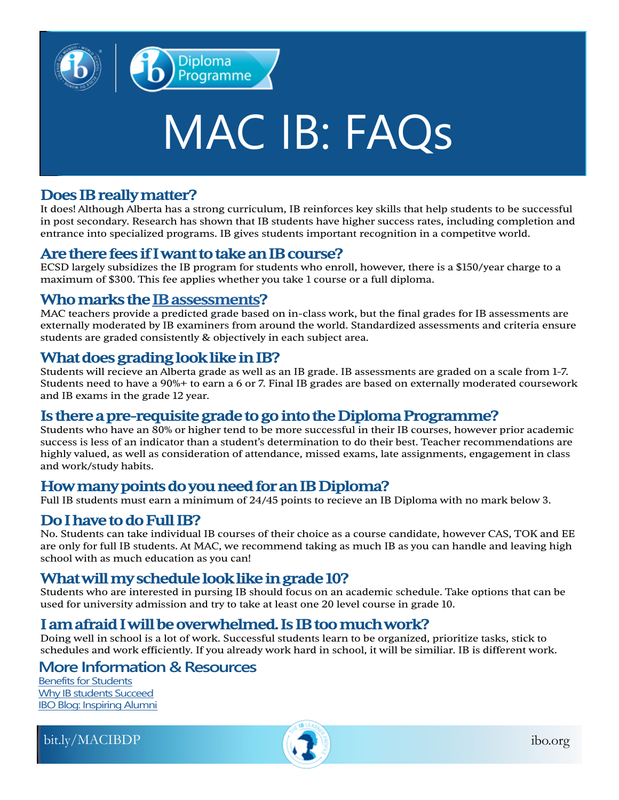

## MAC IB: FAQs

#### **Does IB really matter?**

It does! Although Alberta has a strong curriculum, IB reinforces key skills that help students to be successful in post secondary. Research has shown that IB students have higher success rates, including completion and entrance into specialized programs. IB gives students important recognition in a competitve world.

#### **Are there fees if I want to take an IB course?**

ECSD largely subsidizes the IB program for students who enroll, however, there is a \$150/year charge to a maximum of \$300. This fee applies whether you take 1 course or a full diploma.

#### **Who marks the [IB assessments?](https://www.ibo.org/programmes/diploma-programme/assessment-and-exams/)**

MAC teachers provide a predicted grade based on in-class work, but the final grades for IB assessments are externally moderated by IB examiners from around the world. Standardized assessments and criteria ensure students are graded consistently & objectively in each subject area.

#### **What does grading look like in IB?**

Students will recieve an Alberta grade as well as an IB grade. IB assessments are graded on a scale from 1-7. Students need to have a 90%+ to earn a 6 or 7. Final IB grades are based on externally moderated coursework and IB exams in the grade 12 year.

#### **Is there a pre-requisite grade to go into the Diploma Programme?**

Students who have an 80% or higher tend to be more successful in their IB courses, however prior academic success is less of an indicator than a student's determination to do their best. Teacher recommendations are highly valued, as well as consideration of attendance, missed exams, late assignments, engagement in class and work/study habits.

#### **How many points do you need for an IB Diploma?**

Full IB students must earn a minimum of 24/45 points to recieve an IB Diploma with no mark below 3.

#### **Do I have to do Full IB?**

No. Students can take individual IB courses of their choice as a course candidate, however CAS, TOK and EE are only for full IB students. At MAC, we recommend taking as much IB as you can handle and leaving high school with as much education as you can!

#### **What will my schedule look like in grade 10?**

Students who are interested in pursing IB should focus on an academic schedule. Take options that can be used for university admission and try to take at least one 20 level course in grade 10.

#### **I am afraid I will be overwhelmed. Is IB too much work?**

Doing well in school is a lot of work. Successful students learn to be organized, prioritize tasks, stick to schedules and work efficiently. If you already work hard in school, it will be similiar. IB is different work.

#### **More Information & Resources**

[Benefits for Students](https://www.ibo.org/benefits/benefits-for-students/) [Why IB students Succeed](https://www.ibo.org/university-admission/discover-why-ib-students-succeed/) **[IBO Blog: Inspiring Alumni](https://blogs.ibo.org/blog/category/inspiring-alumni/)** 

[bit.ly/MACIBDP](https://www.ecsd.net/8403/page/1984/ib-diploma-program) [ibo.org](http://ibo.org)